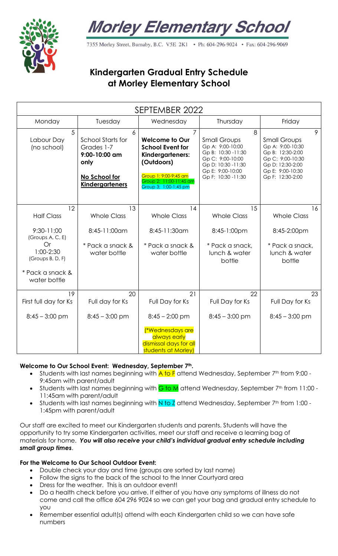



7355 Morley Street, Burnaby, B.C. V5E 2K1 . Ph: 604-296-9024 . Fax: 604-296-9069

# **Kindergarten Gradual Entry Schedule at Morley Elementary School**

| SEPTEMBER 2022                      |                                                                                                          |                                                                                                                                                                                   |                                                                                                                                                        |                                                                                                                                                  |
|-------------------------------------|----------------------------------------------------------------------------------------------------------|-----------------------------------------------------------------------------------------------------------------------------------------------------------------------------------|--------------------------------------------------------------------------------------------------------------------------------------------------------|--------------------------------------------------------------------------------------------------------------------------------------------------|
| Monday                              | Tuesday                                                                                                  | Wednesday                                                                                                                                                                         | Thursday                                                                                                                                               | Friday                                                                                                                                           |
| 5<br>Labour Day<br>(no school)      | 6<br>School Starts for<br>Grades 1-7<br>9:00-10:00 am<br>only<br>No School for<br><b>Kindergarteners</b> | $\overline{7}$<br><b>Welcome to Our</b><br><b>School Event for</b><br>Kindergarteners:<br>(Outdoors)<br>Group 1: 9:00-9:45 am<br>Group 2: 11:00-11:45 am<br>Group 3: 1:00-1:45 pm | 8<br><b>Small Groups</b><br>Gp A: 9:00-10:00<br>Gp B: 10:30 -11:30<br>Gp C: 9:00-10:00<br>Gp D: 10:30 -11:30<br>Gp E: 9:00-10:00<br>Gp F: 10:30 -11:30 | 9<br><b>Small Groups</b><br>Gp A: 9:00-10:30<br>Gp B: 12:30-2:00<br>Gp C: 9:00-10:30<br>Gp D: 12:30-2:00<br>Gp E: 9:00-10:30<br>Gp F: 12:30-2:00 |
| 12<br><b>Half Class</b>             | 13<br><b>Whole Class</b>                                                                                 | 14<br><b>Whole Class</b>                                                                                                                                                          | 15<br><b>Whole Class</b>                                                                                                                               | 16<br><b>Whole Class</b>                                                                                                                         |
| 9:30-11:00<br>(Groups A, C, E)      | 8:45-11:00am                                                                                             | 8:45-11:30am                                                                                                                                                                      | 8:45-1:00pm                                                                                                                                            | 8:45-2:00pm                                                                                                                                      |
| Or<br>1:00-2:30<br>(Groups B, D, F) | * Pack a snack &<br>water bottle                                                                         | * Pack a snack &<br>water bottle                                                                                                                                                  | * Pack a snack,<br>lunch & water<br>bottle                                                                                                             | * Pack a snack,<br>lunch & water<br>bottle                                                                                                       |
| * Pack a snack &<br>water bottle    |                                                                                                          |                                                                                                                                                                                   |                                                                                                                                                        |                                                                                                                                                  |
| 19<br>First full day for Ks         | 20<br>Full day for Ks                                                                                    | 21<br>Full Day for Ks                                                                                                                                                             | 22<br>Full Day for Ks                                                                                                                                  | 23<br>Full Day for Ks                                                                                                                            |
| $8:45 - 3:00$ pm                    | $8:45 - 3:00$ pm                                                                                         | $8:45 - 2:00$ pm                                                                                                                                                                  | $8:45 - 3:00$ pm                                                                                                                                       | $8:45 - 3:00$ pm                                                                                                                                 |
|                                     |                                                                                                          | <i>(*Wednesdays are</i><br>always early<br>dismissal days for all<br>students at Morley)                                                                                          |                                                                                                                                                        |                                                                                                                                                  |

#### **Welcome to Our School Event: Wednesday, September 7th.**

- Students with last names beginning with  $\overline{A}$  to  $\overline{F}$  attend Wednesday, September 7<sup>th</sup> from 9:00 -9:45am with parent/adult
- Students with last names beginning with  $G$  to M attend Wednesday, September  $7<sup>th</sup>$  from 11:00 -11:45am with parent/adult
- 5tudents with last names beginning with N to Z attend Wednesday, September 7<sup>th</sup> from 1:00 -1:45pm with parent/adult

Our staff are excited to meet our Kindergarten students and parents. Students will have the opportunity to try some Kindergarten activities, meet our staff and receive a learning bag of materials for home. *You will also receive your child's individual gradual entry schedule including small group times*.

#### **For the Welcome to Our School Outdoor Event:**

- Double check your day and time (groups are sorted by last name)
- Follow the signs to the back of the school to the Inner Courtyard area
- Dress for the weather. This is an outdoor event!
- Do a health check before you arrive. If either of you have any symptoms of illness do not come and call the office 604 296 9024 so we can get your bag and gradual entry schedule to you
- Remember essential adult(s) attend with each Kindergarten child so we can have safe numbers